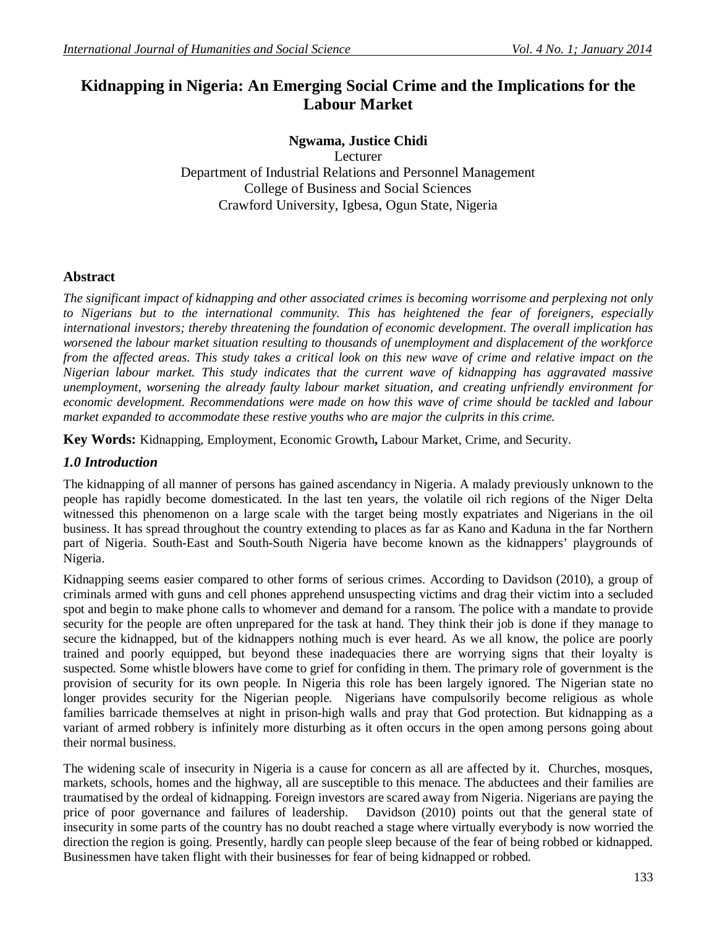# **Kidnapping in Nigeria: An Emerging Social Crime and the Implications for the Labour Market**

# **Ngwama, Justice Chidi**

Lecturer Department of Industrial Relations and Personnel Management College of Business and Social Sciences Crawford University, Igbesa, Ogun State, Nigeria

# **Abstract**

*The significant impact of kidnapping and other associated crimes is becoming worrisome and perplexing not only to Nigerians but to the international community. This has heightened the fear of foreigners, especially international investors; thereby threatening the foundation of economic development. The overall implication has worsened the labour market situation resulting to thousands of unemployment and displacement of the workforce from the affected areas. This study takes a critical look on this new wave of crime and relative impact on the Nigerian labour market. This study indicates that the current wave of kidnapping has aggravated massive unemployment, worsening the already faulty labour market situation, and creating unfriendly environment for economic development. Recommendations were made on how this wave of crime should be tackled and labour market expanded to accommodate these restive youths who are major the culprits in this crime.*

**Key Words:** Kidnapping, Employment, Economic Growth**,** Labour Market, Crime, and Security.

# *1.0 Introduction*

The kidnapping of all manner of persons has gained ascendancy in Nigeria. A malady previously unknown to the people has rapidly become domesticated. In the last ten years, the volatile oil rich regions of the Niger Delta witnessed this phenomenon on a large scale with the target being mostly expatriates and Nigerians in the oil business. It has spread throughout the country extending to places as far as Kano and Kaduna in the far Northern part of Nigeria. South-East and South-South Nigeria have become known as the kidnappers' playgrounds of Nigeria.

Kidnapping seems easier compared to other forms of serious crimes. According to Davidson (2010), a group of criminals armed with guns and cell phones apprehend unsuspecting victims and drag their victim into a secluded spot and begin to make phone calls to whomever and demand for a ransom. The police with a mandate to provide security for the people are often unprepared for the task at hand. They think their job is done if they manage to secure the kidnapped, but of the kidnappers nothing much is ever heard. As we all know, the police are poorly trained and poorly equipped, but beyond these inadequacies there are worrying signs that their loyalty is suspected. Some whistle blowers have come to grief for confiding in them. The primary role of government is the provision of security for its own people. In Nigeria this role has been largely ignored. The Nigerian state no longer provides security for the Nigerian people. Nigerians have compulsorily become religious as whole families barricade themselves at night in prison-high walls and pray that God protection. But kidnapping as a variant of armed robbery is infinitely more disturbing as it often occurs in the open among persons going about their normal business.

The widening scale of insecurity in Nigeria is a cause for concern as all are affected by it. Churches, mosques, markets, schools, homes and the highway, all are susceptible to this menace. The abductees and their families are traumatised by the ordeal of kidnapping. Foreign investors are scared away from Nigeria. Nigerians are paying the price of poor governance and failures of leadership. Davidson (2010) points out that the general state of insecurity in some parts of the country has no doubt reached a stage where virtually everybody is now worried the direction the region is going. Presently, hardly can people sleep because of the fear of being robbed or kidnapped. Businessmen have taken flight with their businesses for fear of being kidnapped or robbed.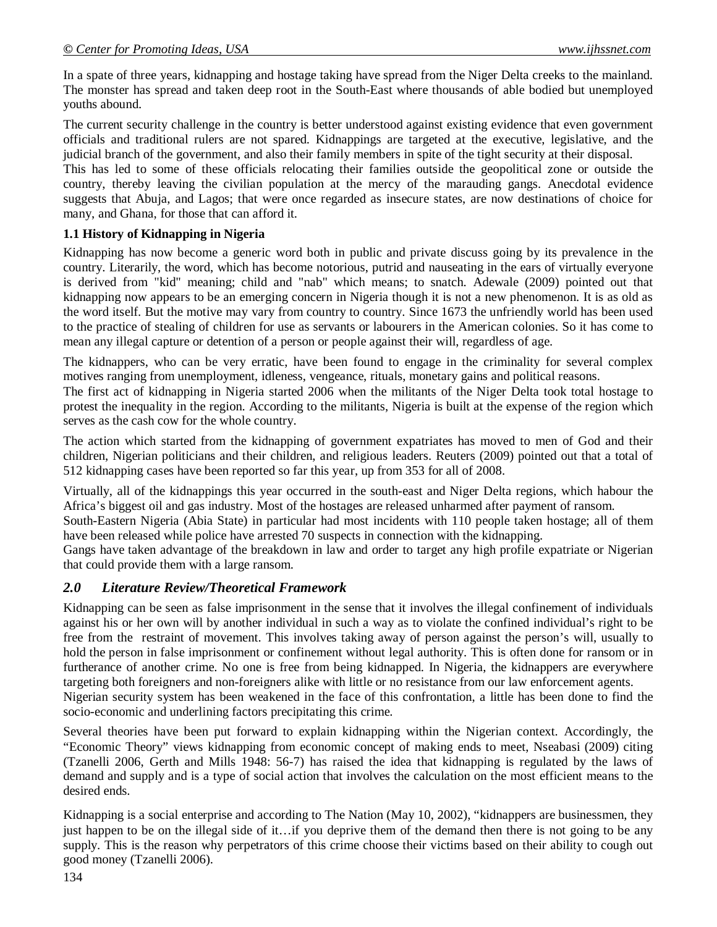In a spate of three years, kidnapping and hostage taking have spread from the Niger Delta creeks to the mainland. The monster has spread and taken deep root in the South-East where thousands of able bodied but unemployed youths abound.

The current security challenge in the country is better understood against existing evidence that even government officials and traditional rulers are not spared. Kidnappings are targeted at the executive, legislative, and the judicial branch of the government, and also their family members in spite of the tight security at their disposal.

This has led to some of these officials relocating their families outside the geopolitical zone or outside the country, thereby leaving the civilian population at the mercy of the marauding gangs. Anecdotal evidence suggests that Abuja, and Lagos; that were once regarded as insecure states, are now destinations of choice for many, and Ghana, for those that can afford it.

# **1.1 History of Kidnapping in Nigeria**

Kidnapping has now become a generic word both in public and private discuss going by its prevalence in the country. Literarily, the word, which has become notorious, putrid and nauseating in the ears of virtually everyone is derived from "kid" meaning; child and "nab" which means; to snatch. Adewale (2009) pointed out that kidnapping now appears to be an emerging concern in Nigeria though it is not a new phenomenon. It is as old as the word itself. But the motive may vary from country to country. Since 1673 the unfriendly world has been used to the practice of stealing of children for use as servants or labourers in the American colonies. So it has come to mean any illegal capture or detention of a person or people against their will, regardless of age.

The kidnappers, who can be very erratic, have been found to engage in the criminality for several complex motives ranging from unemployment, idleness, vengeance, rituals, monetary gains and political reasons.

The first act of kidnapping in Nigeria started 2006 when the militants of the Niger Delta took total hostage to protest the inequality in the region. According to the militants, Nigeria is built at the expense of the region which serves as the cash cow for the whole country.

The action which started from the kidnapping of government expatriates has moved to men of God and their children, Nigerian politicians and their children, and religious leaders. Reuters (2009) pointed out that a total of 512 kidnapping cases have been reported so far this year, up from 353 for all of 2008.

Virtually, all of the kidnappings this year occurred in the south-east and Niger Delta regions, which habour the Africa's biggest oil and gas industry. Most of the hostages are released unharmed after payment of ransom.

South-Eastern Nigeria (Abia State) in particular had most incidents with 110 people taken hostage; all of them have been released while police have arrested 70 suspects in connection with the kidnapping.

Gangs have taken advantage of the breakdown in law and order to target any high profile expatriate or Nigerian that could provide them with a large ransom.

# *2.0 Literature Review/Theoretical Framework*

Kidnapping can be seen as false imprisonment in the sense that it involves the illegal confinement of individuals against his or her own will by another individual in such a way as to violate the confined individual's right to be free from the restraint of movement. This involves taking away of person against the person's will, usually to hold the person in false imprisonment or confinement without legal authority. This is often done for ransom or in furtherance of another crime. No one is free from being kidnapped. In Nigeria, the kidnappers are everywhere targeting both foreigners and non-foreigners alike with little or no resistance from our law enforcement agents. Nigerian security system has been weakened in the face of this confrontation, a little has been done to find the socio-economic and underlining factors precipitating this crime.

Several theories have been put forward to explain kidnapping within the Nigerian context. Accordingly, the "Economic Theory" views kidnapping from economic concept of making ends to meet, Nseabasi (2009) citing (Tzanelli 2006, Gerth and Mills 1948: 56-7) has raised the idea that kidnapping is regulated by the laws of demand and supply and is a type of social action that involves the calculation on the most efficient means to the desired ends.

Kidnapping is a social enterprise and according to The Nation (May 10, 2002), "kidnappers are businessmen, they just happen to be on the illegal side of it…if you deprive them of the demand then there is not going to be any supply. This is the reason why perpetrators of this crime choose their victims based on their ability to cough out good money (Tzanelli 2006).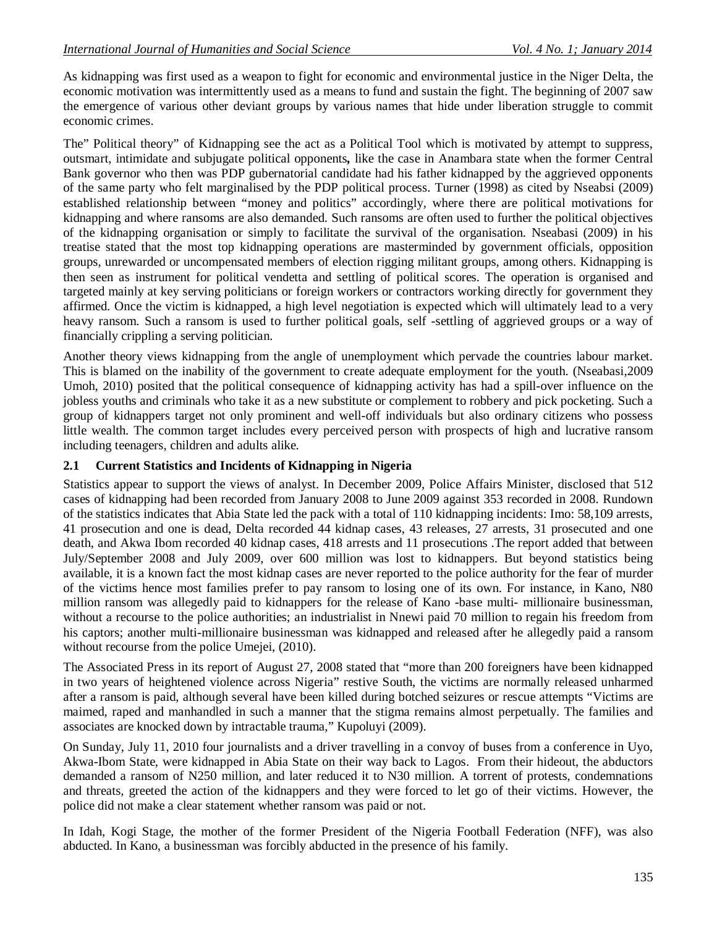As kidnapping was first used as a weapon to fight for economic and environmental justice in the Niger Delta, the economic motivation was intermittently used as a means to fund and sustain the fight. The beginning of 2007 saw the emergence of various other deviant groups by various names that hide under liberation struggle to commit economic crimes.

The" Political theory" of Kidnapping see the act as a Political Tool which is motivated by attempt to suppress, outsmart, intimidate and subjugate political opponents*,* like the case in Anambara state when the former Central Bank governor who then was PDP gubernatorial candidate had his father kidnapped by the aggrieved opponents of the same party who felt marginalised by the PDP political process. Turner (1998) as cited by Nseabsi (2009) established relationship between "money and politics" accordingly, where there are political motivations for kidnapping and where ransoms are also demanded. Such ransoms are often used to further the political objectives of the kidnapping organisation or simply to facilitate the survival of the organisation. Nseabasi (2009) in his treatise stated that the most top kidnapping operations are masterminded by government officials, opposition groups, unrewarded or uncompensated members of election rigging militant groups, among others. Kidnapping is then seen as instrument for political vendetta and settling of political scores. The operation is organised and targeted mainly at key serving politicians or foreign workers or contractors working directly for government they affirmed. Once the victim is kidnapped, a high level negotiation is expected which will ultimately lead to a very heavy ransom. Such a ransom is used to further political goals, self -settling of aggrieved groups or a way of financially crippling a serving politician.

Another theory views kidnapping from the angle of unemployment which pervade the countries labour market. This is blamed on the inability of the government to create adequate employment for the youth. (Nseabasi,2009 Umoh, 2010) posited that the political consequence of kidnapping activity has had a spill-over influence on the jobless youths and criminals who take it as a new substitute or complement to robbery and pick pocketing. Such a group of kidnappers target not only prominent and well-off individuals but also ordinary citizens who possess little wealth. The common target includes every perceived person with prospects of high and lucrative ransom including teenagers, children and adults alike.

# **2.1 Current Statistics and Incidents of Kidnapping in Nigeria**

Statistics appear to support the views of analyst. In December 2009, Police Affairs Minister, disclosed that 512 cases of kidnapping had been recorded from January 2008 to June 2009 against 353 recorded in 2008. Rundown of the statistics indicates that Abia State led the pack with a total of 110 kidnapping incidents: Imo: 58,109 arrests, 41 prosecution and one is dead, Delta recorded 44 kidnap cases, 43 releases, 27 arrests, 31 prosecuted and one death, and Akwa Ibom recorded 40 kidnap cases, 418 arrests and 11 prosecutions .The report added that between July/September 2008 and July 2009, over 600 million was lost to kidnappers. But beyond statistics being available, it is a known fact the most kidnap cases are never reported to the police authority for the fear of murder of the victims hence most families prefer to pay ransom to losing one of its own. For instance, in Kano, N80 million ransom was allegedly paid to kidnappers for the release of Kano -base multi- millionaire businessman, without a recourse to the police authorities; an industrialist in Nnewi paid 70 million to regain his freedom from his captors; another multi-millionaire businessman was kidnapped and released after he allegedly paid a ransom without recourse from the police Umejei, (2010).

The Associated Press in its report of August 27, 2008 stated that "more than 200 foreigners have been kidnapped in two years of heightened violence across Nigeria" restive South, the victims are normally released unharmed after a ransom is paid, although several have been killed during botched seizures or rescue attempts "Victims are maimed, raped and manhandled in such a manner that the stigma remains almost perpetually. The families and associates are knocked down by intractable trauma," Kupoluyi (2009).

On Sunday, July 11, 2010 four journalists and a driver travelling in a convoy of buses from a conference in Uyo, Akwa-Ibom State, were kidnapped in Abia State on their way back to Lagos. From their hideout, the abductors demanded a ransom of N250 million, and later reduced it to N30 million. A torrent of protests, condemnations and threats, greeted the action of the kidnappers and they were forced to let go of their victims. However, the police did not make a clear statement whether ransom was paid or not.

In Idah, Kogi Stage, the mother of the former President of the Nigeria Football Federation (NFF), was also abducted. In Kano, a businessman was forcibly abducted in the presence of his family.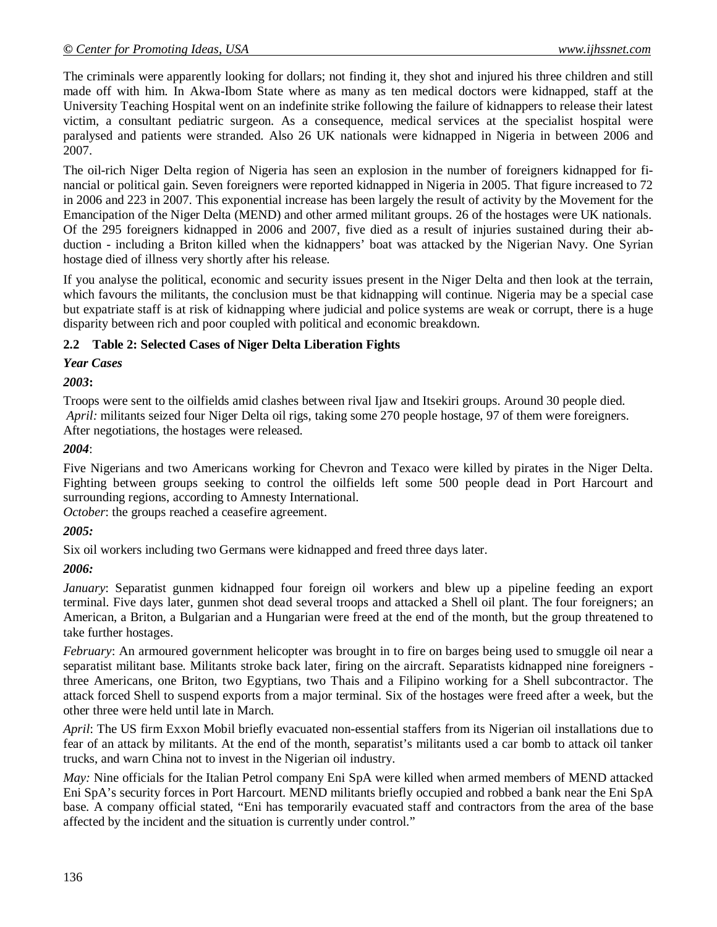The criminals were apparently looking for dollars; not finding it, they shot and injured his three children and still made off with him. In Akwa-Ibom State where as many as ten medical doctors were kidnapped, staff at the University Teaching Hospital went on an indefinite strike following the failure of kidnappers to release their latest victim, a consultant pediatric surgeon. As a consequence, medical services at the specialist hospital were paralysed and patients were stranded. Also 26 UK nationals were kidnapped in Nigeria in between 2006 and 2007.

The oil-rich Niger Delta region of Nigeria has seen an explosion in the number of foreigners kidnapped for financial or political gain. Seven foreigners were reported kidnapped in Nigeria in 2005. That figure increased to 72 in 2006 and 223 in 2007. This exponential increase has been largely the result of activity by the Movement for the Emancipation of the Niger Delta (MEND) and other armed militant groups. 26 of the hostages were UK nationals. Of the 295 foreigners kidnapped in 2006 and 2007, five died as a result of injuries sustained during their abduction - including a Briton killed when the kidnappers' boat was attacked by the Nigerian Navy. One Syrian hostage died of illness very shortly after his release.

If you analyse the political, economic and security issues present in the Niger Delta and then look at the terrain, which favours the militants, the conclusion must be that kidnapping will continue. Nigeria may be a special case but expatriate staff is at risk of kidnapping where judicial and police systems are weak or corrupt, there is a huge disparity between rich and poor coupled with political and economic breakdown.

# **2.2 Table 2: Selected Cases of Niger Delta Liberation Fights**

*Year Cases*

*2003***:**

Troops were sent to the oilfields amid clashes between rival Ijaw and Itsekiri groups. Around 30 people died. *April:* militants seized four Niger Delta oil rigs, taking some 270 people hostage, 97 of them were foreigners. After negotiations, the hostages were released.

*2004*:

Five Nigerians and two Americans working for Chevron and Texaco were killed by pirates in the Niger Delta. Fighting between groups seeking to control the oilfields left some 500 people dead in Port Harcourt and surrounding regions, according to Amnesty International.

*October*: the groups reached a ceasefire agreement.

# *2005:*

Six oil workers including two Germans were kidnapped and freed three days later.

# *2006:*

*January*: Separatist gunmen kidnapped four foreign oil workers and blew up a pipeline feeding an export terminal. Five days later, gunmen shot dead several troops and attacked a Shell oil plant. The four foreigners; an American, a Briton, a Bulgarian and a Hungarian were freed at the end of the month, but the group threatened to take further hostages.

*February*: An armoured government helicopter was brought in to fire on barges being used to smuggle oil near a separatist militant base. Militants stroke back later, firing on the aircraft. Separatists kidnapped nine foreigners three Americans, one Briton, two Egyptians, two Thais and a Filipino working for a Shell subcontractor. The attack forced Shell to suspend exports from a major terminal. Six of the hostages were freed after a week, but the other three were held until late in March.

*April*: The US firm Exxon Mobil briefly evacuated non-essential staffers from its Nigerian oil installations due to fear of an attack by militants. At the end of the month, separatist's militants used a car bomb to attack oil tanker trucks, and warn China not to invest in the Nigerian oil industry.

*May:* Nine officials for the Italian Petrol company Eni SpA were killed when armed members of MEND attacked Eni SpA's security forces in Port Harcourt. MEND militants briefly occupied and robbed a bank near the Eni SpA base. A company official stated, "Eni has temporarily evacuated staff and contractors from the area of the base affected by the incident and the situation is currently under control."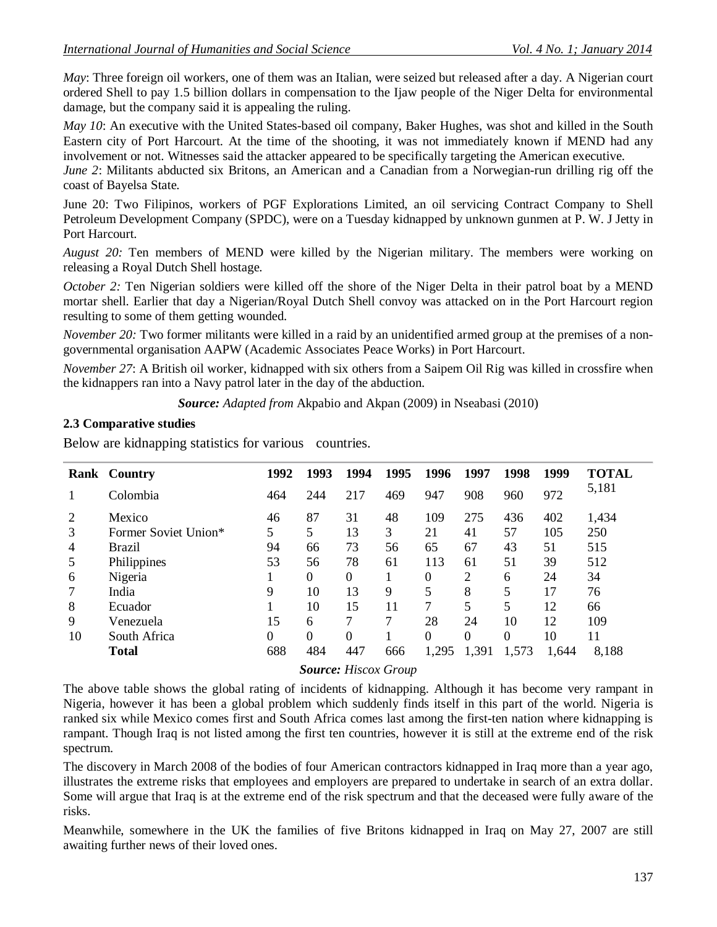*May*: Three foreign oil workers, one of them was an Italian, were seized but released after a day. A Nigerian court ordered Shell to pay 1.5 billion dollars in compensation to the Ijaw people of the Niger Delta for environmental damage, but the company said it is appealing the ruling.

*May 10*: An executive with the United States-based oil company, Baker Hughes, was shot and killed in the South Eastern city of Port Harcourt. At the time of the shooting, it was not immediately known if MEND had any involvement or not. Witnesses said the attacker appeared to be specifically targeting the American executive.

*June 2*: Militants abducted six Britons, an American and a Canadian from a Norwegian-run drilling rig off the coast of Bayelsa State.

June 20: Two Filipinos, workers of PGF Explorations Limited, an oil servicing Contract Company to Shell Petroleum Development Company (SPDC), were on a Tuesday kidnapped by unknown gunmen at P. W. J Jetty in Port Harcourt.

*August 20:* Ten members of MEND were killed by the Nigerian military. The members were working on releasing a Royal Dutch Shell hostage.

*October* 2: Ten Nigerian soldiers were killed off the shore of the Niger Delta in their patrol boat by a MEND mortar shell. Earlier that day a Nigerian/Royal Dutch Shell convoy was attacked on in the Port Harcourt region resulting to some of them getting wounded.

*November 20:* Two former militants were killed in a raid by an unidentified armed group at the premises of a nongovernmental organisation AAPW (Academic Associates Peace Works) in Port Harcourt.

*November 27*: A British oil worker, kidnapped with six others from a Saipem Oil Rig was killed in crossfire when the kidnappers ran into a Navy patrol later in the day of the abduction.

*Source: Adapted from* Akpabio and Akpan (2009) in Nseabasi (2010)

# **2.3 Comparative studies**

Below are kidnapping statistics for various countries.

|    | Rank Country         | 1992     | 1993     | 1994     | 1995   | 1996  | 1997  | 1998  | 1999  | <b>TOTAL</b> |
|----|----------------------|----------|----------|----------|--------|-------|-------|-------|-------|--------------|
|    | Colombia             | 464      | 244      | 217      | 469    | 947   | 908   | 960   | 972   | 5,181        |
| 2  | Mexico               | 46       | 87       | 31       | 48     | 109   | 275   | 436   | 402   | 1,434        |
| 3  | Former Soviet Union* | 5        | 5        | 13       | 3      | 21    | 41    | 57    | 105   | 250          |
| 4  | <b>Brazil</b>        | 94       | 66       | 73       | 56     | 65    | 67    | 43    | 51    | 515          |
| 5  | Philippines          | 53       | 56       | 78       | 61     | 113   | 61    | 51    | 39    | 512          |
| 6  | Nigeria              |          | $\Omega$ | $\theta$ |        | 0     | 2     | 6     | 24    | 34           |
|    | India                | 9        | 10       | 13       | 9      |       | 8     | 5     | 17    | 76           |
| 8  | Ecuador              |          | 10       | 15       | 11     | 7     | 5     | 5     | 12    | 66           |
| 9  | Venezuela            | 15       | 6        |          |        | 28    | 24    | 10    | 12    | 109          |
| 10 | South Africa         | $\Omega$ | $\Omega$ | $\Omega$ |        | 0     | 0     | 0     | 10    | 11           |
|    | Total                | 688      | 484      | 447      | 666    | 1,295 | 1,391 | 1,573 | 1,644 | 8.188        |
|    |                      |          | $\sim$   | $- - -$  | $\sim$ |       |       |       |       |              |

*Source: Hiscox Group*

The above table shows the global rating of incidents of kidnapping. Although it has become very rampant in Nigeria, however it has been a global problem which suddenly finds itself in this part of the world. Nigeria is ranked six while Mexico comes first and South Africa comes last among the first-ten nation where kidnapping is rampant. Though Iraq is not listed among the first ten countries, however it is still at the extreme end of the risk spectrum.

The discovery in March 2008 of the bodies of four American contractors kidnapped in Iraq more than a year ago, illustrates the extreme risks that employees and employers are prepared to undertake in search of an extra dollar. Some will argue that Iraq is at the extreme end of the risk spectrum and that the deceased were fully aware of the risks.

Meanwhile, somewhere in the UK the families of five Britons kidnapped in Iraq on May 27, 2007 are still awaiting further news of their loved ones.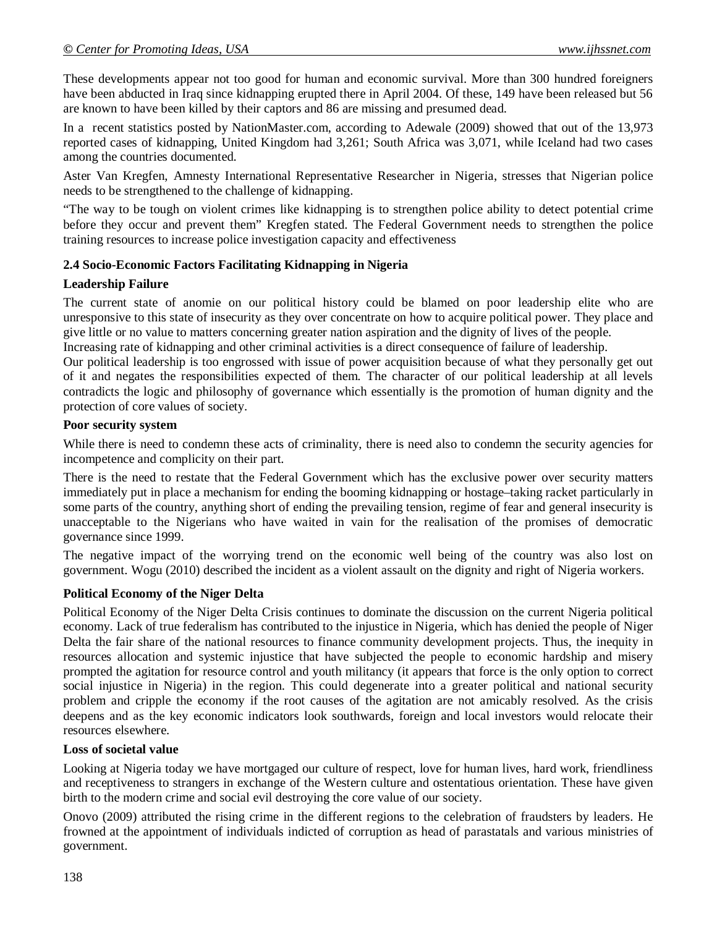These developments appear not too good for human and economic survival. More than 300 hundred foreigners have been abducted in Iraq since kidnapping erupted there in April 2004. Of these, 149 have been released but 56 are known to have been killed by their captors and 86 are missing and presumed dead.

In a recent statistics posted by NationMaster.com, according to Adewale (2009) showed that out of the 13,973 reported cases of kidnapping, United Kingdom had 3,261; South Africa was 3,071, while Iceland had two cases among the countries documented.

Aster Van Kregfen, Amnesty International Representative Researcher in Nigeria, stresses that Nigerian police needs to be strengthened to the challenge of kidnapping.

"The way to be tough on violent crimes like kidnapping is to strengthen police ability to detect potential crime before they occur and prevent them" Kregfen stated. The Federal Government needs to strengthen the police training resources to increase police investigation capacity and effectiveness

#### **2.4 Socio-Economic Factors Facilitating Kidnapping in Nigeria**

#### **Leadership Failure**

The current state of anomie on our political history could be blamed on poor leadership elite who are unresponsive to this state of insecurity as they over concentrate on how to acquire political power. They place and give little or no value to matters concerning greater nation aspiration and the dignity of lives of the people.

Increasing rate of kidnapping and other criminal activities is a direct consequence of failure of leadership.

Our political leadership is too engrossed with issue of power acquisition because of what they personally get out of it and negates the responsibilities expected of them. The character of our political leadership at all levels contradicts the logic and philosophy of governance which essentially is the promotion of human dignity and the protection of core values of society.

#### **Poor security system**

While there is need to condemn these acts of criminality, there is need also to condemn the security agencies for incompetence and complicity on their part.

There is the need to restate that the Federal Government which has the exclusive power over security matters immediately put in place a mechanism for ending the booming kidnapping or hostage–taking racket particularly in some parts of the country, anything short of ending the prevailing tension, regime of fear and general insecurity is unacceptable to the Nigerians who have waited in vain for the realisation of the promises of democratic governance since 1999.

The negative impact of the worrying trend on the economic well being of the country was also lost on government. Wogu (2010) described the incident as a violent assault on the dignity and right of Nigeria workers.

# **Political Economy of the Niger Delta**

Political Economy of the Niger Delta Crisis continues to dominate the discussion on the current Nigeria political economy. Lack of true federalism has contributed to the injustice in Nigeria, which has denied the people of Niger Delta the fair share of the national resources to finance community development projects. Thus, the inequity in resources allocation and systemic injustice that have subjected the people to economic hardship and misery prompted the agitation for resource control and youth militancy (it appears that force is the only option to correct social injustice in Nigeria) in the region. This could degenerate into a greater political and national security problem and cripple the economy if the root causes of the agitation are not amicably resolved. As the crisis deepens and as the key economic indicators look southwards, foreign and local investors would relocate their resources elsewhere.

#### **Loss of societal value**

Looking at Nigeria today we have mortgaged our culture of respect, love for human lives, hard work, friendliness and receptiveness to strangers in exchange of the Western culture and ostentatious orientation. These have given birth to the modern crime and social evil destroying the core value of our society.

Onovo (2009) attributed the rising crime in the different regions to the celebration of fraudsters by leaders. He frowned at the appointment of individuals indicted of corruption as head of parastatals and various ministries of government.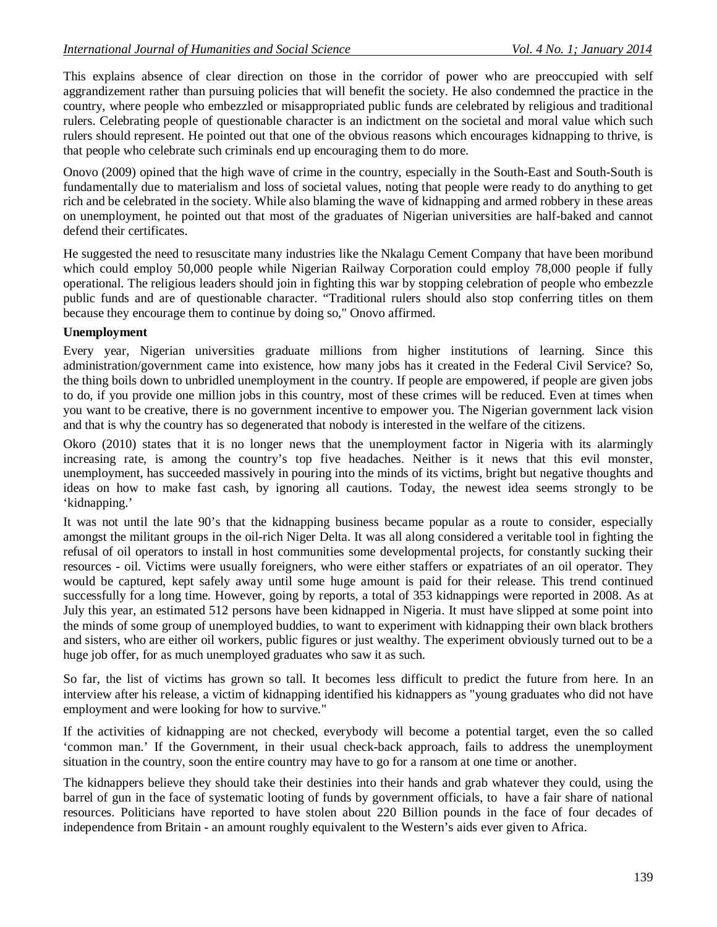This explains absence of clear direction on those in the corridor of power who are preoccupied with self aggrandizement rather than pursuing policies that will benefit the society. He also condemned the practice in the country, where people who embezzled or misappropriated public funds are celebrated by religious and traditional rulers. Celebrating people of questionable character is an indictment on the societal and moral value which such rulers should represent. He pointed out that one of the obvious reasons which encourages kidnapping to thrive, is that people who celebrate such criminals end up encouraging them to do more.

Onovo (2009) opined that the high wave of crime in the country, especially in the South-East and South-South is fundamentally due to materialism and loss of societal values, noting that people were ready to do anything to get rich and be celebrated in the society. While also blaming the wave of kidnapping and armed robbery in these areas on unemployment, he pointed out that most of the graduates of Nigerian universities are half-baked and cannot defend their certificates.

He suggested the need to resuscitate many industries like the Nkalagu Cement Company that have been moribund which could employ 50,000 people while Nigerian Railway Corporation could employ 78,000 people if fully operational. The religious leaders should join in fighting this war by stopping celebration of people who embezzle public funds and are of questionable character. "Traditional rulers should also stop conferring titles on them because they encourage them to continue by doing so," Onovo affirmed.

# **Unemployment**

Every year, Nigerian universities graduate millions from higher institutions of learning. Since this administration/government came into existence, how many jobs has it created in the Federal Civil Service? So, the thing boils down to unbridled unemployment in the country. If people are empowered, if people are given jobs to do, if you provide one million jobs in this country, most of these crimes will be reduced. Even at times when you want to be creative, there is no government incentive to empower you. The Nigerian government lack vision and that is why the country has so degenerated that nobody is interested in the welfare of the citizens.

Okoro (2010) states that it is no longer news that the unemployment factor in Nigeria with its alarmingly increasing rate, is among the country's top five headaches. Neither is it news that this evil monster, unemployment, has succeeded massively in pouring into the minds of its victims, bright but negative thoughts and ideas on how to make fast cash, by ignoring all cautions. Today, the newest idea seems strongly to be 'kidnapping.'

It was not until the late 90's that the kidnapping business became popular as a route to consider, especially amongst the militant groups in the oil-rich Niger Delta. It was all along considered a veritable tool in fighting the refusal of oil operators to install in host communities some developmental projects, for constantly sucking their resources - oil. Victims were usually foreigners, who were either staffers or expatriates of an oil operator. They would be captured, kept safely away until some huge amount is paid for their release. This trend continued successfully for a long time. However, going by reports, a total of 353 kidnappings were reported in 2008. As at July this year, an estimated 512 persons have been kidnapped in Nigeria. It must have slipped at some point into the minds of some group of unemployed buddies, to want to experiment with kidnapping their own black brothers and sisters, who are either oil workers, public figures or just wealthy. The experiment obviously turned out to be a huge job offer, for as much unemployed graduates who saw it as such.

So far, the list of victims has grown so tall. It becomes less difficult to predict the future from here. In an interview after his release, a victim of kidnapping identified his kidnappers as "young graduates who did not have employment and were looking for how to survive."

If the activities of kidnapping are not checked, everybody will become a potential target, even the so called 'common man.' If the Government, in their usual check-back approach, fails to address the unemployment situation in the country, soon the entire country may have to go for a ransom at one time or another.

The kidnappers believe they should take their destinies into their hands and grab whatever they could, using the barrel of gun in the face of systematic looting of funds by government officials, to have a fair share of national resources. Politicians have reported to have stolen about 220 Billion pounds in the face of four decades of independence from Britain - an amount roughly equivalent to the Western's aids ever given to Africa.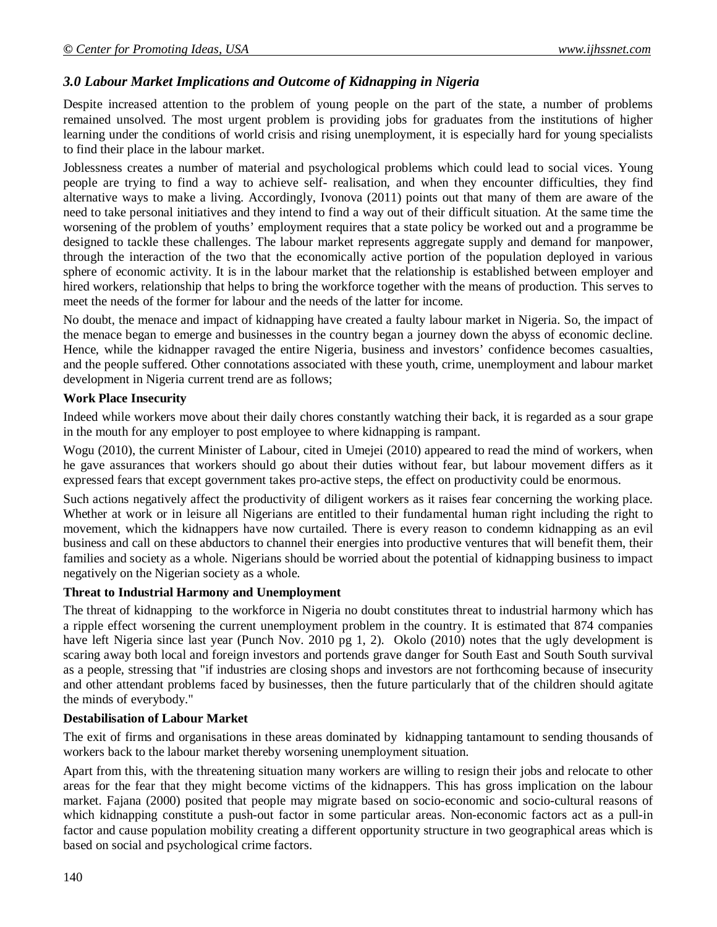# *3.0 Labour Market Implications and Outcome of Kidnapping in Nigeria*

Despite increased attention to the problem of young people on the part of the state, a number of problems remained unsolved. The most urgent problem is providing jobs for graduates from the institutions of higher learning under the conditions of world crisis and rising unemployment, it is especially hard for young specialists to find their place in the labour market.

Joblessness creates a number of material and psychological problems which could lead to social vices. Young people are trying to find a way to achieve self- realisation, and when they encounter difficulties, they find alternative ways to make a living. Accordingly, Ivonova (2011) points out that many of them are aware of the need to take personal initiatives and they intend to find a way out of their difficult situation. At the same time the worsening of the problem of youths' employment requires that a state policy be worked out and a programme be designed to tackle these challenges. The labour market represents aggregate supply and demand for manpower, through the interaction of the two that the economically active portion of the population deployed in various sphere of economic activity. It is in the labour market that the relationship is established between employer and hired workers, relationship that helps to bring the workforce together with the means of production. This serves to meet the needs of the former for labour and the needs of the latter for income.

No doubt, the menace and impact of kidnapping have created a faulty labour market in Nigeria. So, the impact of the menace began to emerge and businesses in the country began a journey down the abyss of economic decline. Hence, while the kidnapper ravaged the entire Nigeria, business and investors' confidence becomes casualties, and the people suffered. Other connotations associated with these youth, crime, unemployment and labour market development in Nigeria current trend are as follows;

#### **Work Place Insecurity**

Indeed while workers move about their daily chores constantly watching their back, it is regarded as a sour grape in the mouth for any employer to post employee to where kidnapping is rampant.

Wogu (2010), the current Minister of Labour, cited in Umejei (2010) appeared to read the mind of workers, when he gave assurances that workers should go about their duties without fear, but labour movement differs as it expressed fears that except government takes pro-active steps, the effect on productivity could be enormous.

Such actions negatively affect the productivity of diligent workers as it raises fear concerning the working place. Whether at work or in leisure all Nigerians are entitled to their fundamental human right including the right to movement, which the kidnappers have now curtailed. There is every reason to condemn kidnapping as an evil business and call on these abductors to channel their energies into productive ventures that will benefit them, their families and society as a whole. Nigerians should be worried about the potential of kidnapping business to impact negatively on the Nigerian society as a whole.

#### **Threat to Industrial Harmony and Unemployment**

The threat of kidnapping to the workforce in Nigeria no doubt constitutes threat to industrial harmony which has a ripple effect worsening the current unemployment problem in the country. It is estimated that 874 companies have left Nigeria since last year (Punch Nov. 2010 pg 1, 2). Okolo (2010) notes that the ugly development is scaring away both local and foreign investors and portends grave danger for South East and South South survival as a people, stressing that "if industries are closing shops and investors are not forthcoming because of insecurity and other attendant problems faced by businesses, then the future particularly that of the children should agitate the minds of everybody."

#### **Destabilisation of Labour Market**

The exit of firms and organisations in these areas dominated by kidnapping tantamount to sending thousands of workers back to the labour market thereby worsening unemployment situation.

Apart from this, with the threatening situation many workers are willing to resign their jobs and relocate to other areas for the fear that they might become victims of the kidnappers. This has gross implication on the labour market. Fajana (2000) posited that people may migrate based on socio-economic and socio-cultural reasons of which kidnapping constitute a push-out factor in some particular areas. Non-economic factors act as a pull-in factor and cause population mobility creating a different opportunity structure in two geographical areas which is based on social and psychological crime factors.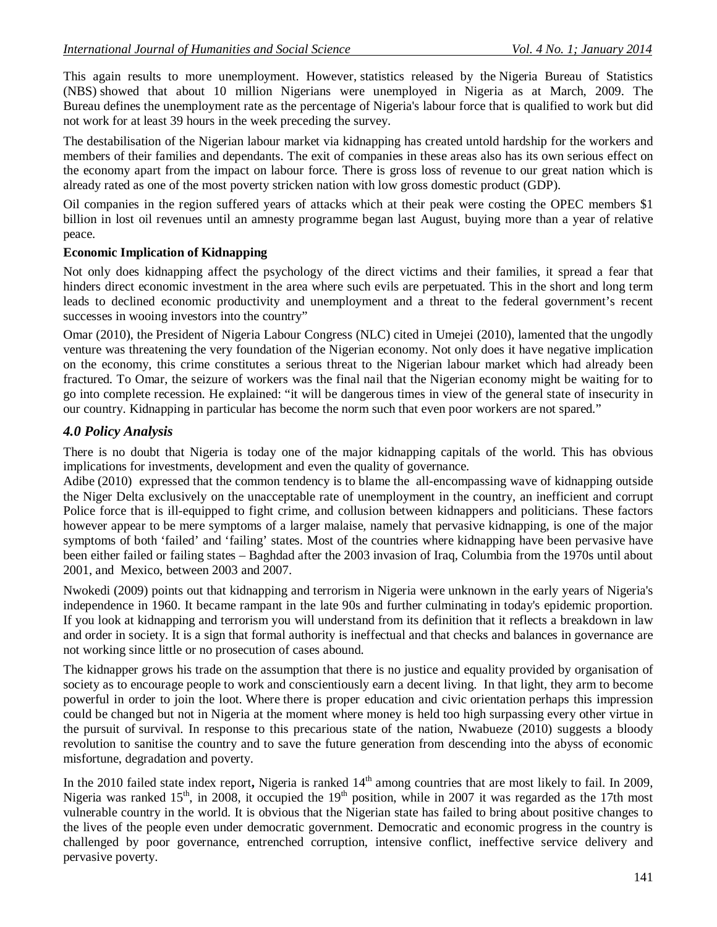This again results to more unemployment. However, statistics released by the Nigeria Bureau of Statistics (NBS) showed that about 10 million Nigerians were unemployed in Nigeria as at March, 2009. The Bureau defines the unemployment rate as the percentage of Nigeria's labour force that is qualified to work but did not work for at least 39 hours in the week preceding the survey.

The destabilisation of the Nigerian labour market via kidnapping has created untold hardship for the workers and members of their families and dependants. The exit of companies in these areas also has its own serious effect on the economy apart from the impact on labour force. There is gross loss of revenue to our great nation which is already rated as one of the most poverty stricken nation with low gross domestic product (GDP).

Oil companies in the region suffered years of attacks which at their peak were costing the OPEC members \$1 billion in lost oil revenues until an amnesty programme began last August, buying more than a year of relative peace.

# **Economic Implication of Kidnapping**

Not only does kidnapping affect the psychology of the direct victims and their families, it spread a fear that hinders direct economic investment in the area where such evils are perpetuated. This in the short and long term leads to declined economic productivity and unemployment and a threat to the federal government's recent successes in wooing investors into the country"

Omar (2010), the President of Nigeria Labour Congress (NLC) cited in Umejei (2010), lamented that the ungodly venture was threatening the very foundation of the Nigerian economy. Not only does it have negative implication on the economy, this crime constitutes a serious threat to the Nigerian labour market which had already been fractured. To Omar, the seizure of workers was the final nail that the Nigerian economy might be waiting for to go into complete recession. He explained: "it will be dangerous times in view of the general state of insecurity in our country. Kidnapping in particular has become the norm such that even poor workers are not spared."

# *4.0 Policy Analysis*

There is no doubt that Nigeria is today one of the major kidnapping capitals of the world. This has obvious implications for investments, development and even the quality of governance.

Adibe (2010) expressed that the common tendency is to blame the all-encompassing wave of kidnapping outside the Niger Delta exclusively on the unacceptable rate of unemployment in the country, an inefficient and corrupt Police force that is ill-equipped to fight crime, and collusion between kidnappers and politicians. These factors however appear to be mere symptoms of a larger malaise, namely that pervasive kidnapping, is one of the major symptoms of both 'failed' and 'failing' states. Most of the countries where kidnapping have been pervasive have been either failed or failing states – Baghdad after the 2003 invasion of Iraq, Columbia from the 1970s until about 2001, and Mexico, between 2003 and 2007.

Nwokedi (2009) points out that kidnapping and terrorism in Nigeria were unknown in the early years of Nigeria's independence in 1960. It became rampant in the late 90s and further culminating in today's epidemic proportion. If you look at kidnapping and terrorism you will understand from its definition that it reflects a breakdown in law and order in society. It is a sign that formal authority is ineffectual and that checks and balances in governance are not working since little or no prosecution of cases abound.

The kidnapper grows his trade on the assumption that there is no justice and equality provided by organisation of society as to encourage people to work and conscientiously earn a decent living. In that light, they arm to become powerful in order to join the loot. Where there is proper education and civic orientation perhaps this impression could be changed but not in Nigeria at the moment where money is held too high surpassing every other virtue in the pursuit of survival. In response to this precarious state of the nation, Nwabueze (2010) suggests a bloody revolution to sanitise the country and to save the future generation from descending into the abyss of economic misfortune, degradation and poverty.

In the 2010 failed state index report, Nigeria is ranked 14<sup>th</sup> among countries that are most likely to fail. In 2009, Nigeria was ranked  $15<sup>th</sup>$ , in 2008, it occupied the  $19<sup>th</sup>$  position, while in 2007 it was regarded as the 17th most vulnerable country in the world. It is obvious that the Nigerian state has failed to bring about positive changes to the lives of the people even under democratic government. Democratic and economic progress in the country is challenged by poor governance, entrenched corruption, intensive conflict, ineffective service delivery and pervasive poverty.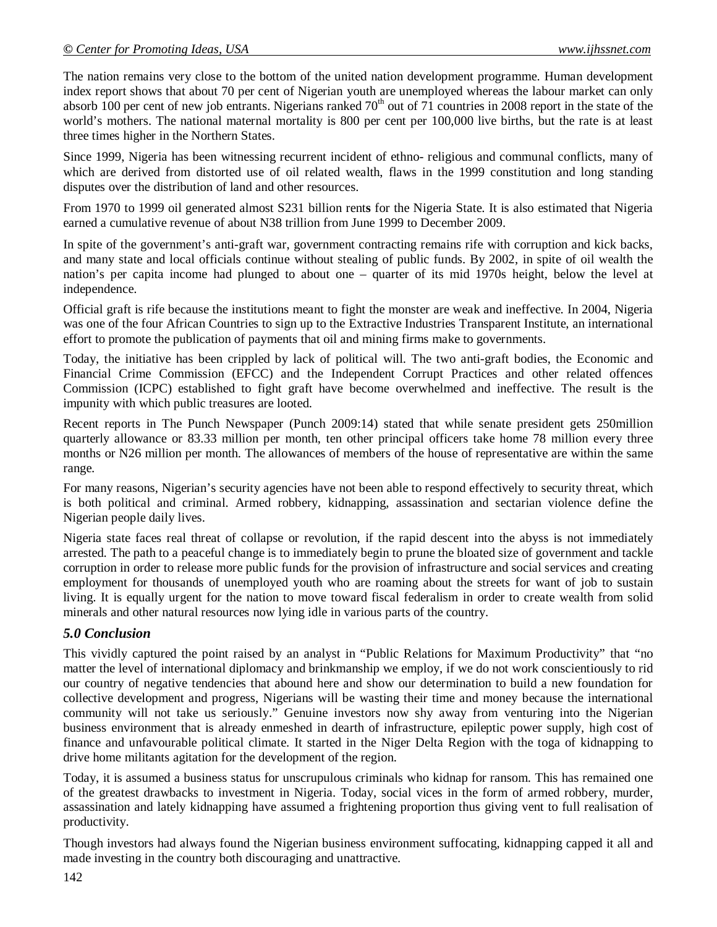The nation remains very close to the bottom of the united nation development programme. Human development index report shows that about 70 per cent of Nigerian youth are unemployed whereas the labour market can only absorb 100 per cent of new job entrants. Nigerians ranked  $70<sup>th</sup>$  out of 71 countries in 2008 report in the state of the world's mothers. The national maternal mortality is 800 per cent per 100,000 live births, but the rate is at least three times higher in the Northern States.

Since 1999, Nigeria has been witnessing recurrent incident of ethno- religious and communal conflicts, many of which are derived from distorted use of oil related wealth, flaws in the 1999 constitution and long standing disputes over the distribution of land and other resources.

From 1970 to 1999 oil generated almost S231 billion rent**s** for the Nigeria State. It is also estimated that Nigeria earned a cumulative revenue of about N38 trillion from June 1999 to December 2009.

In spite of the government's anti-graft war, government contracting remains rife with corruption and kick backs, and many state and local officials continue without stealing of public funds. By 2002, in spite of oil wealth the nation's per capita income had plunged to about one – quarter of its mid 1970s height, below the level at independence.

Official graft is rife because the institutions meant to fight the monster are weak and ineffective. In 2004, Nigeria was one of the four African Countries to sign up to the Extractive Industries Transparent Institute, an international effort to promote the publication of payments that oil and mining firms make to governments.

Today, the initiative has been crippled by lack of political will. The two anti-graft bodies, the Economic and Financial Crime Commission (EFCC) and the Independent Corrupt Practices and other related offences Commission (ICPC) established to fight graft have become overwhelmed and ineffective. The result is the impunity with which public treasures are looted.

Recent reports in The Punch Newspaper (Punch 2009:14) stated that while senate president gets 250million quarterly allowance or 83.33 million per month, ten other principal officers take home 78 million every three months or N26 million per month. The allowances of members of the house of representative are within the same range.

For many reasons, Nigerian's security agencies have not been able to respond effectively to security threat, which is both political and criminal. Armed robbery, kidnapping, assassination and sectarian violence define the Nigerian people daily lives.

Nigeria state faces real threat of collapse or revolution, if the rapid descent into the abyss is not immediately arrested. The path to a peaceful change is to immediately begin to prune the bloated size of government and tackle corruption in order to release more public funds for the provision of infrastructure and social services and creating employment for thousands of unemployed youth who are roaming about the streets for want of job to sustain living. It is equally urgent for the nation to move toward fiscal federalism in order to create wealth from solid minerals and other natural resources now lying idle in various parts of the country.

# *5.0 Conclusion*

This vividly captured the point raised by an analyst in "Public Relations for Maximum Productivity" that "no matter the level of international diplomacy and brinkmanship we employ, if we do not work conscientiously to rid our country of negative tendencies that abound here and show our determination to build a new foundation for collective development and progress, Nigerians will be wasting their time and money because the international community will not take us seriously." Genuine investors now shy away from venturing into the Nigerian business environment that is already enmeshed in dearth of infrastructure, epileptic power supply, high cost of finance and unfavourable political climate. It started in the Niger Delta Region with the toga of kidnapping to drive home militants agitation for the development of the region.

Today, it is assumed a business status for unscrupulous criminals who kidnap for ransom. This has remained one of the greatest drawbacks to investment in Nigeria. Today, social vices in the form of armed robbery, murder, assassination and lately kidnapping have assumed a frightening proportion thus giving vent to full realisation of productivity.

Though investors had always found the Nigerian business environment suffocating, kidnapping capped it all and made investing in the country both discouraging and unattractive.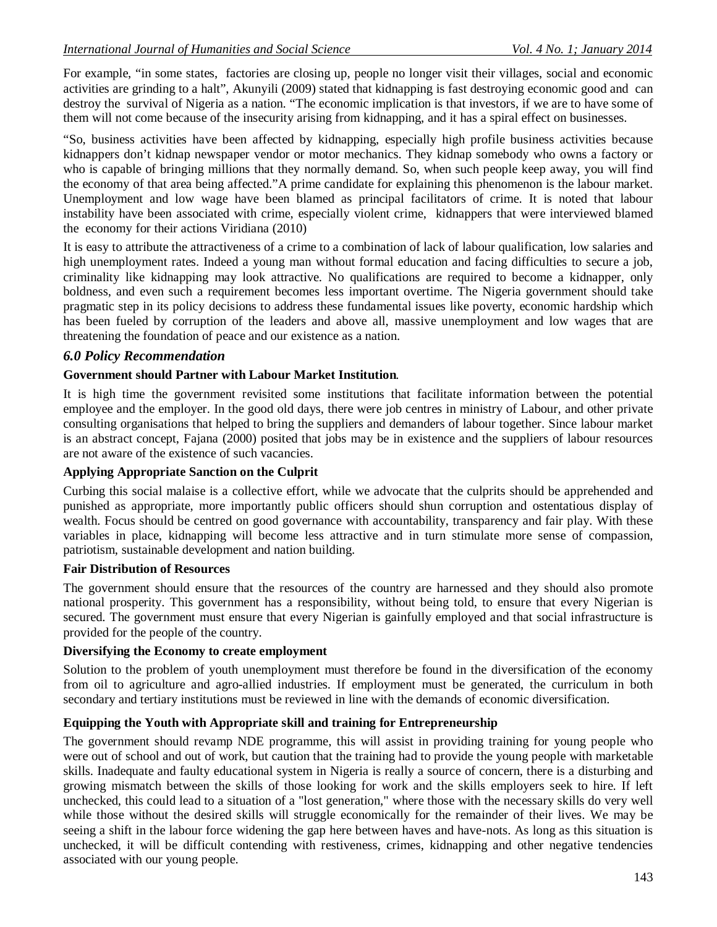For example, "in some states, factories are closing up, people no longer visit their villages, social and economic activities are grinding to a halt", Akunyili (2009) stated that kidnapping is fast destroying economic good and can destroy the survival of Nigeria as a nation. "The economic implication is that investors, if we are to have some of them will not come because of the insecurity arising from kidnapping, and it has a spiral effect on businesses.

"So, business activities have been affected by kidnapping, especially high profile business activities because kidnappers don't kidnap newspaper vendor or motor mechanics. They kidnap somebody who owns a factory or who is capable of bringing millions that they normally demand. So, when such people keep away, you will find the economy of that area being affected."A prime candidate for explaining this phenomenon is the labour market. Unemployment and low wage have been blamed as principal facilitators of crime. It is noted that labour instability have been associated with crime, especially violent crime, kidnappers that were interviewed blamed the economy for their actions Viridiana (2010)

It is easy to attribute the attractiveness of a crime to a combination of lack of labour qualification, low salaries and high unemployment rates. Indeed a young man without formal education and facing difficulties to secure a job, criminality like kidnapping may look attractive. No qualifications are required to become a kidnapper, only boldness, and even such a requirement becomes less important overtime. The Nigeria government should take pragmatic step in its policy decisions to address these fundamental issues like poverty, economic hardship which has been fueled by corruption of the leaders and above all, massive unemployment and low wages that are threatening the foundation of peace and our existence as a nation.

# *6.0 Policy Recommendation*

# **Government should Partner with Labour Market Institution***.*

It is high time the government revisited some institutions that facilitate information between the potential employee and the employer. In the good old days, there were job centres in ministry of Labour, and other private consulting organisations that helped to bring the suppliers and demanders of labour together. Since labour market is an abstract concept, Fajana (2000) posited that jobs may be in existence and the suppliers of labour resources are not aware of the existence of such vacancies.

# **Applying Appropriate Sanction on the Culprit**

Curbing this social malaise is a collective effort, while we advocate that the culprits should be apprehended and punished as appropriate, more importantly public officers should shun corruption and ostentatious display of wealth. Focus should be centred on good governance with accountability, transparency and fair play. With these variables in place, kidnapping will become less attractive and in turn stimulate more sense of compassion, patriotism, sustainable development and nation building.

#### **Fair Distribution of Resources**

The government should ensure that the resources of the country are harnessed and they should also promote national prosperity. This government has a responsibility, without being told, to ensure that every Nigerian is secured. The government must ensure that every Nigerian is gainfully employed and that social infrastructure is provided for the people of the country.

# **Diversifying the Economy to create employment**

Solution to the problem of youth unemployment must therefore be found in the diversification of the economy from oil to agriculture and agro-allied industries. If employment must be generated, the curriculum in both secondary and tertiary institutions must be reviewed in line with the demands of economic diversification.

# **Equipping the Youth with Appropriate skill and training for Entrepreneurship**

The government should revamp NDE programme, this will assist in providing training for young people who were out of school and out of work, but caution that the training had to provide the young people with marketable skills. Inadequate and faulty educational system in Nigeria is really a source of concern, there is a disturbing and growing mismatch between the skills of those looking for work and the skills employers seek to hire. If left unchecked, this could lead to a situation of a "lost generation," where those with the necessary skills do very well while those without the desired skills will struggle economically for the remainder of their lives. We may be seeing a shift in the labour force widening the gap here between haves and have-nots. As long as this situation is unchecked, it will be difficult contending with restiveness, crimes, kidnapping and other negative tendencies associated with our young people.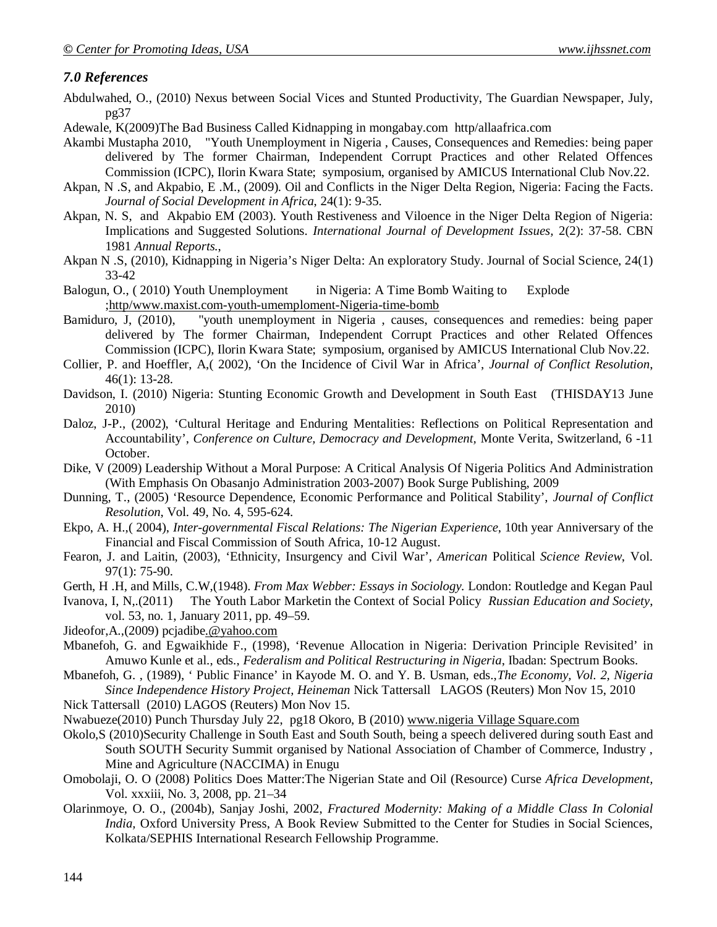# *7.0 References*

- Abdulwahed, O., (2010) Nexus between Social Vices and Stunted Productivity, The Guardian Newspaper, July, pg37
- Adewale, K(2009)The Bad Business Called Kidnapping in mongabay.com http/allaafrica.com
- Akambi Mustapha 2010, "Youth Unemployment in Nigeria , Causes, Consequences and Remedies: being paper delivered by The former Chairman, Independent Corrupt Practices and other Related Offences Commission (ICPC), Ilorin Kwara State; symposium, organised by AMICUS International Club Nov.22.
- Akpan, N .S, and Akpabio, E .M., (2009). Oil and Conflicts in the Niger Delta Region, Nigeria: Facing the Facts. *Journal of Social Development in Africa*, 24(1): 9-35.
- Akpan, N. S, and Akpabio EM (2003). Youth Restiveness and Viloence in the Niger Delta Region of Nigeria: Implications and Suggested Solutions. *International Journal of Development Issues,* 2(2): 37-58. CBN 1981 *Annual Reports.*,
- Akpan N .S, (2010), Kidnapping in Nigeria's Niger Delta: An exploratory Study. Journal of Social Science, 24(1) 33-42
- Balogun, O., ( 2010) Youth Unemployment in Nigeria: A Time Bomb Waiting to Explode ;http/www.maxist.com-youth-umemploment-Nigeria-time-bomb
- Bamiduro, J, (2010), "youth unemployment in Nigeria , causes, consequences and remedies: being paper delivered by The former Chairman, Independent Corrupt Practices and other Related Offences Commission (ICPC), Ilorin Kwara State; symposium, organised by AMICUS International Club Nov.22.
- Collier, P. and Hoeffler, A,( 2002), 'On the Incidence of Civil War in Africa', *Journal of Conflict Resolution*, 46(1): 13-28.
- Davidson, I. (2010) Nigeria: Stunting Economic Growth and Development in South East (THISDAY13 June 2010)
- Daloz, J-P., (2002), 'Cultural Heritage and Enduring Mentalities: Reflections on Political Representation and Accountability', *Conference on Culture, Democracy and Development,* Monte Verita, Switzerland, 6 -11 October.
- Dike, V (2009) Leadership Without a Moral Purpose: A Critical Analysis Of Nigeria Politics And Administration (With Emphasis On Obasanjo Administration 2003-2007) Book Surge Publishing, 2009
- Dunning, T., (2005) 'Resource Dependence, Economic Performance and Political Stability', *Journal of Conflict Resolution*, Vol. 49, No. 4, 595-624.
- Ekpo, A. H.,( 2004), *Inter-governmental Fiscal Relations: The Nigerian Experience*, 10th year Anniversary of the Financial and Fiscal Commission of South Africa, 10-12 August.
- Fearon, J. and Laitin, (2003), 'Ethnicity, Insurgency and Civil War', *American* Political *Science Review*, Vol. 97(1): 75-90.
- Gerth, H .H, and Mills, C.W,(1948). *From Max Webber: Essays in Sociology.* London: Routledge and Kegan Paul
- Ivanova, I, N,.(2011) The Youth Labor Marketin the Context of Social Policy *Russian Education and Society*, vol. 53, no. 1, January 2011, pp. 49–59.
- Jideofor,A.,(2009) pcjadibe.@yahoo.com
- Mbanefoh, G. and Egwaikhide F., (1998), 'Revenue Allocation in Nigeria: Derivation Principle Revisited' in Amuwo Kunle et al., eds., *Federalism and Political Restructuring in Nigeria*, Ibadan: Spectrum Books.
- Mbanefoh, G. , (1989), ' Public Finance' in Kayode M. O. and Y. B. Usman, eds.,*The Economy, Vol. 2, Nigeria Since Independence History Project, Heineman* Nick Tattersall LAGOS (Reuters) Mon Nov 15, 2010
- Nick Tattersall (2010) LAGOS (Reuters) Mon Nov 15.
- Nwabueze(2010) Punch Thursday July 22, pg18 Okoro, B (2010) www.nigeria Village Square.com
- Okolo,S (2010)Security Challenge in South East and South South, being a speech delivered during south East and South SOUTH Security Summit organised by National Association of Chamber of Commerce, Industry , Mine and Agriculture (NACCIMA) in Enugu
- Omobolaji, O. O (2008) Politics Does Matter:The Nigerian State and Oil (Resource) Curse *Africa Development,*  Vol. xxxiii, No. 3, 2008, pp. 21–34
- Olarinmoye, O. O., (2004b), Sanjay Joshi, 2002, *Fractured Modernity: Making of a Middle Class In Colonial India,* Oxford University Press, A Book Review Submitted to the Center for Studies in Social Sciences, Kolkata/SEPHIS International Research Fellowship Programme.